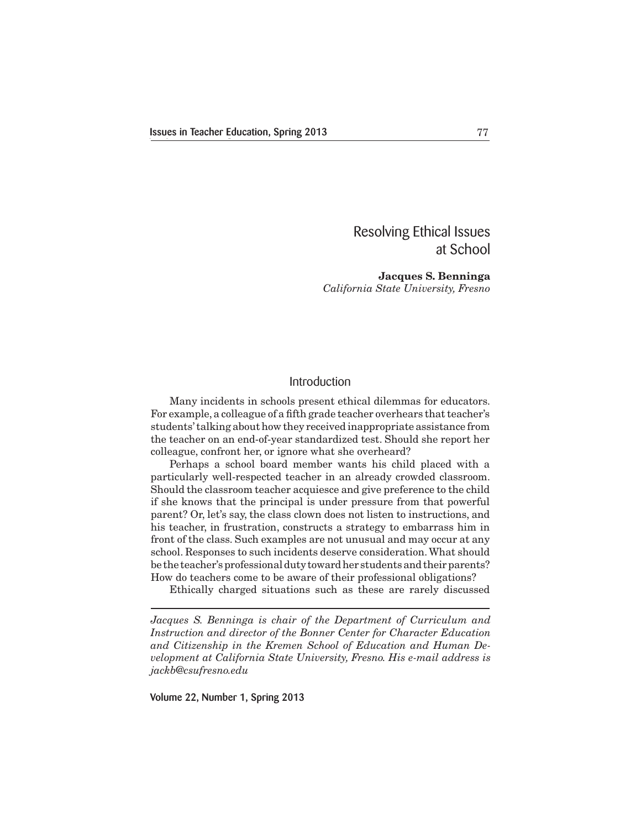## Resolving Ethical Issues at School

**Jacques S. Benninga** *California State University, Fresno*

## Introduction

 Many incidents in schools present ethical dilemmas for educators. For example, a colleague of a fifth grade teacher overhears that teacher's students'talking about how they received inappropriate assistance from the teacher on an end-of-year standardized test. Should she report her colleague, confront her, or ignore what she overheard?

 Perhaps a school board member wants his child placed with a particularly well-respected teacher in an already crowded classroom. Should the classroom teacher acquiesce and give preference to the child if she knows that the principal is under pressure from that powerful parent? Or, let's say, the class clown does not listen to instructions, and his teacher, in frustration, constructs a strategy to embarrass him in front of the class. Such examples are not unusual and may occur at any school. Responses to such incidents deserve consideration.What should be the teacher's professional duty toward her students and their parents? How do teachers come to be aware of their professional obligations?

 Ethically charged situations such as these are rarely discussed

*Jacques S. Benninga is chair of the Department of Curriculum and Instruction and director of the Bonner Center for Character Education and Citizenship in the Kremen School of Education and Human Development at California State University, Fresno. His e-mail address is jackb@csufresno.edu*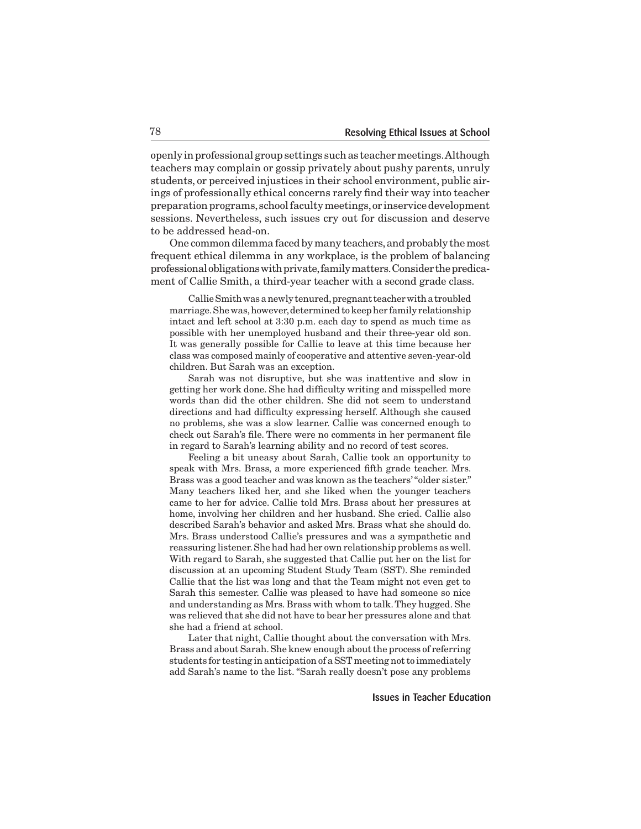openly in professional group settings such as teacher meetings. Although teachers may complain or gossip privately about pushy parents, unruly students, or perceived injustices in their school environment, public airings of professionally ethical concerns rarely find their way into teacher preparation programs, school faculty meetings, or inservice development sessions. Nevertheless, such issues cry out for discussion and deserve to be addressed head-on.

 One common dilemma faced by many teachers,and probably the most frequent ethical dilemma in any workplace, is the problem of balancing professionalobligationswithprivate,familymatters.Considerthepredicament of Callie Smith, a third-year teacher with a second grade class.

 CallieSmithwasanewly tenured,pregnantteacherwithatroubled marriage.Shewas,however,determined to keepher family relationship intact and left school at 3:30 p.m. each day to spend as much time as possible with her unemployed husband and their three-year old son. It was generally possible for Callie to leave at this time because her class was composed mainly of cooperative and attentive seven-year-old children. But Sarah was an exception.

 Sarah was not disruptive, but she was inattentive and slow in getting her work done. She had difficulty writing and misspelled more words than did the other children. She did not seem to understand directions and had difficulty expressing herself. Although she caused no problems, she was a slow learner. Callie was concerned enough to check out Sarah's file. There were no comments in her permanent file in regard to Sarah's learning ability and no record of test scores.

 Feeling a bit uneasy about Sarah, Callie took an opportunity to speak with Mrs. Brass, a more experienced fifth grade teacher. Mrs. Brass was a good teacher and was known as the teachers'"older sister." Many teachers liked her, and she liked when the younger teachers came to her for advice. Callie told Mrs. Brass about her pressures at home, involving her children and her husband. She cried. Callie also described Sarah's behavior and asked Mrs. Brass what she should do. Mrs. Brass understood Callie's pressures and was a sympathetic and reassuring listener.She had had her own relationship problems as well. With regard to Sarah, she suggested that Callie put her on the list for discussion at an upcoming Student Study Team (SST). She reminded Callie that the list was long and that the Team might not even get to Sarah this semester. Callie was pleased to have had someone so nice and understanding as Mrs. Brass with whom to talk.They hugged. She was relieved that she did not have to bear her pressures alone and that she had a friend at school.

 Later that night, Callie thought about the conversation with Mrs. Brass and about Sarah. She knew enough about the process of referring students for testing in anticipation of a SST meeting not to immediately add Sarah's name to the list. "Sarah really doesn't pose any problems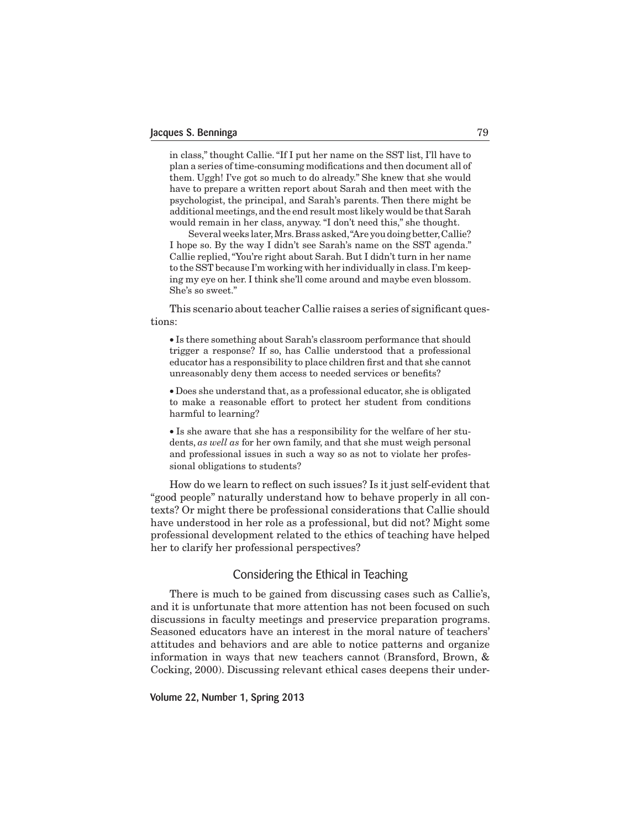in class," thought Callie."If I put her name on the SST list, I'll have to plan a series oftime-consuming modifications and then document all of them. Uggh! I've got so much to do already." She knew that she would have to prepare a written report about Sarah and then meet with the psychologist, the principal, and Sarah's parents. Then there might be additional meetings, and the end result most likely would be that Sarah would remain in her class, anyway. "I don't need this," she thought.

Several weeks later, Mrs. Brass asked, "Are you doing better, Callie? I hope so. By the way I didn't see Sarah's name on the SST agenda." Callie replied,"You're right about Sarah. But I didn't turn in her name to the SST because I'm working with her individually in class. I'm keeping my eye on her. I think she'll come around and maybe even blossom. She's so sweet."

This scenario about teacher Callie raises a series of significant questions:

• Is there something about Sarah's classroom performance that should trigger a response? If so, has Callie understood that a professional educator has a responsibility to place children first and that she cannot unreasonably deny them access to needed services or benefits?

• Does she understand that, as a professional educator, she is obligated to make a reasonable effort to protect her student from conditions harmful to learning?

• Is she aware that she has a responsibility for the welfare of her students, *as well as* for her own family, and that she must weigh personal and professional issues in such a way so as not to violate her professional obligations to students?

 How do we learn to reflect on such issues? Is it just self-evident that "good people" naturally understand how to behave properly in all contexts? Or might there be professional considerations that Callie should have understood in her role as a professional, but did not? Might some professional development related to the ethics of teaching have helped her to clarify her professional perspectives?

## Considering the Ethical in Teaching

 There is much to be gained from discussing cases such as Callie's, and it is unfortunate that more attention has not been focused on such discussions in faculty meetings and preservice preparation programs. Seasoned educators have an interest in the moral nature of teachers' attitudes and behaviors and are able to notice patterns and organize information in ways that new teachers cannot (Bransford, Brown, & Cocking, 2000). Discussing relevant ethical cases deepens their under-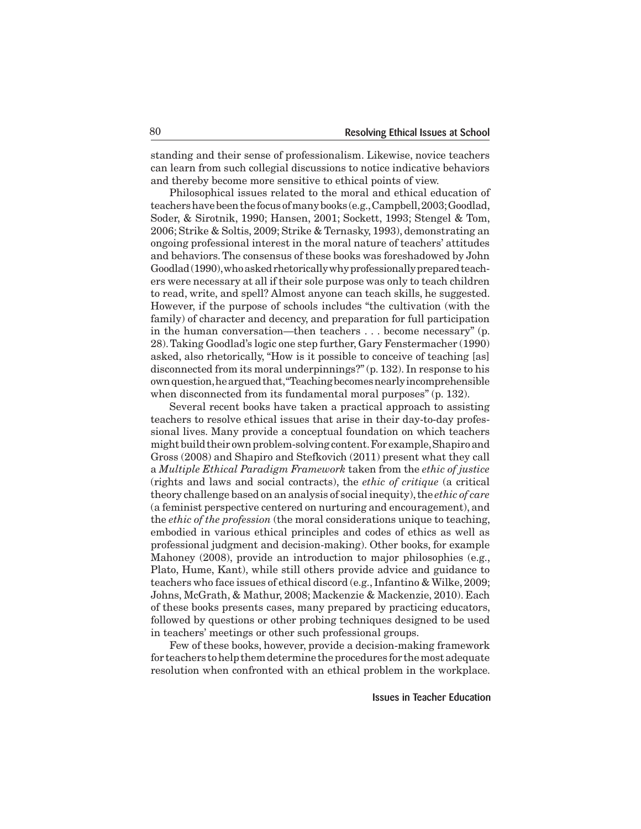standing and their sense of professionalism. Likewise, novice teachers can learn from such collegial discussions to notice indicative behaviors and thereby become more sensitive to ethical points of view.

 Philosophical issues related to the moral and ethical education of teachershavebeenthefocusofmanybooks (e.g.,Campbell,2003;Goodlad, Soder, & Sirotnik, 1990; Hansen, 2001; Sockett, 1993; Stengel & Tom, 2006; Strike & Soltis, 2009; Strike & Ternasky, 1993), demonstrating an ongoing professional interest in the moral nature of teachers' attitudes and behaviors.The consensus of these books was foreshadowed by John Goodlad (1990), who asked rhetorically why professionally prepared teachers were necessary at all if their sole purpose was only to teach children to read, write, and spell? Almost anyone can teach skills, he suggested. However, if the purpose of schools includes "the cultivation (with the family) of character and decency, and preparation for full participation in the human conversation—then teachers . . . become necessary" (p. 28).Taking Goodlad's logic one step further, Gary Fenstermacher (1990) asked, also rhetorically, "How is it possible to conceive of teaching [as] disconnected from its moral underpinnings?"(p. 132). In response to his ownquestion,hearguedthat,"Teachingbecomesnearlyincomprehensible when disconnected from its fundamental moral purposes" (p. 132).

 Several recent books have taken a practical approach to assisting teachers to resolve ethical issues that arise in their day-to-day professional lives. Many provide a conceptual foundation on which teachers might build their own problem-solving content. For example, Shapiro and Gross (2008) and Shapiro and Stefkovich (2011) present what they call a *Multiple Ethical Paradigm Framework* taken from the *ethic of justice* (rights and laws and social contracts), the *ethic of critique* (a critical theory challenge based on an analysis of social inequity),the *ethic of care* (a feminist perspective centered on nurturing and encouragement), and the *ethic of the profession* (the moral considerations unique to teaching, embodied in various ethical principles and codes of ethics as well as professional judgment and decision-making). Other books, for example Mahoney (2008), provide an introduction to major philosophies (e.g., Plato, Hume, Kant), while still others provide advice and guidance to teachers who face issues of ethical discord (e.g., Infantino &Wilke, 2009; Johns, McGrath, & Mathur, 2008; Mackenzie & Mackenzie, 2010). Each of these books presents cases, many prepared by practicing educators, followed by questions or other probing techniques designed to be used in teachers' meetings or other such professional groups.

 Few of these books, however, provide a decision-making framework for teachers to help them determine the procedures for the most adequate resolution when confronted with an ethical problem in the workplace.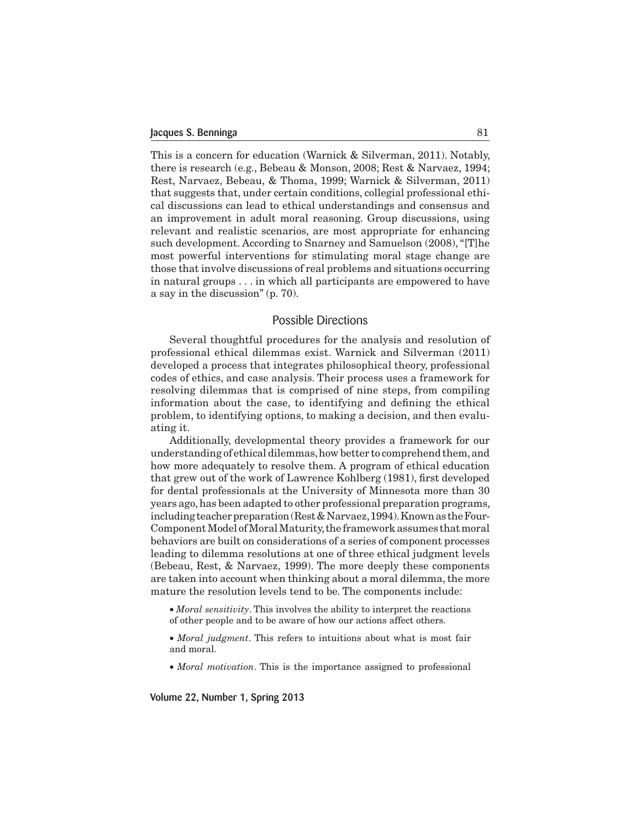This is a concern for education (Warnick & Silverman, 2011). Notably, there is research (e.g., Bebeau & Monson, 2008; Rest & Narvaez, 1994; Rest, Narvaez, Bebeau, & Thoma, 1999; Warnick & Silverman, 2011) that suggests that, under certain conditions, collegial professional ethical discussions can lead to ethical understandings and consensus and an improvement in adult moral reasoning. Group discussions, using relevant and realistic scenarios, are most appropriate for enhancing such development. According to Snarney and Samuelson (2008),"[T]he most powerful interventions for stimulating moral stage change are those that involve discussions of real problems and situations occurring in natural groups . . . in which all participants are empowered to have a say in the discussion" (p. 70).

## Possible Directions

 Several thoughtful procedures for the analysis and resolution of professional ethical dilemmas exist. Warnick and Silverman (2011) developed a process that integrates philosophical theory, professional codes of ethics, and case analysis. Their process uses a framework for resolving dilemmas that is comprised of nine steps, from compiling information about the case, to identifying and defining the ethical problem, to identifying options, to making a decision, and then evaluating it.

 Additionally, developmental theory provides a framework for our understanding of ethical dilemmas, how better to comprehend them, and how more adequately to resolve them. A program of ethical education that grew out of the work of Lawrence Kohlberg (1981), first developed for dental professionals at the University of Minnesota more than 30 years ago,has been adapted to other professional preparation programs, including teacher preparation (Rest & Narvaez, 1994). Known as the Four-Component Model of Moral Maturity, the framework assumes that moral behaviors are built on considerations of a series of component processes leading to dilemma resolutions at one of three ethical judgment levels (Bebeau, Rest, & Narvaez, 1999). The more deeply these components are taken into account when thinking about a moral dilemma, the more mature the resolution levels tend to be. The components include:

• *Moral sensitivity*. This involves the ability to interpret the reactions of other people and to be aware of how our actions affect others.

• *Moral judgment*. This refers to intuitions about what is most fair and moral.

• *Moral motivation*. This is the importance assigned to professional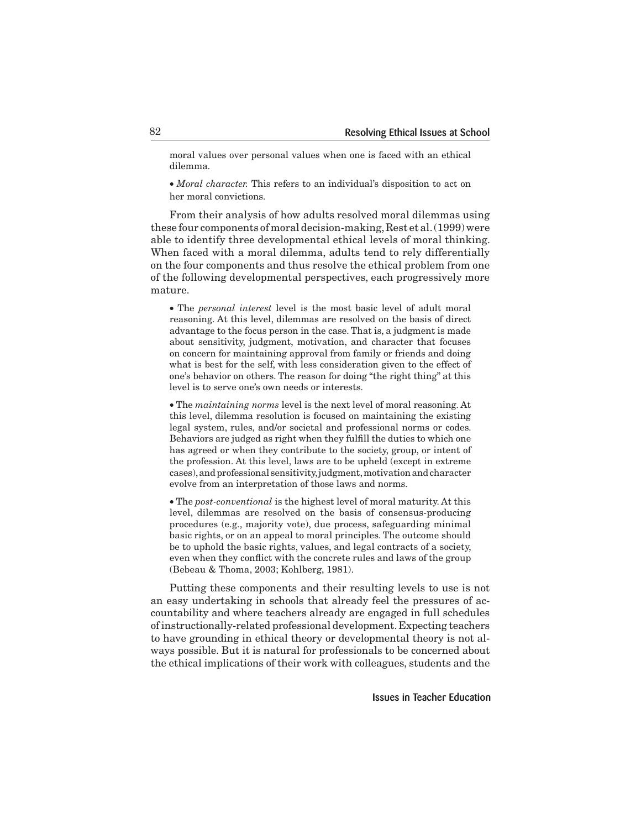moral values over personal values when one is faced with an ethical dilemma.

• *Moral character.* This refers to an individual's disposition to act on her moral convictions.

 From their analysis of how adults resolved moral dilemmas using these four components of moral decision-making, Rest et al. (1999) were able to identify three developmental ethical levels of moral thinking. When faced with a moral dilemma, adults tend to rely differentially on the four components and thus resolve the ethical problem from one of the following developmental perspectives, each progressively more mature.

• The *personal interest* level is the most basic level of adult moral reasoning. At this level, dilemmas are resolved on the basis of direct advantage to the focus person in the case. That is, a judgment is made about sensitivity, judgment, motivation, and character that focuses on concern for maintaining approval from family or friends and doing what is best for the self, with less consideration given to the effect of one's behavior on others. The reason for doing "the right thing" at this level is to serve one's own needs or interests.

• The *maintaining norms* level is the next level of moral reasoning. At this level, dilemma resolution is focused on maintaining the existing legal system, rules, and/or societal and professional norms or codes. Behaviors are judged as right when they fulfill the duties to which one has agreed or when they contribute to the society, group, or intent of the profession. At this level, laws are to be upheld (except in extreme cases),andprofessional sensitivity,judgment,motivationandcharacter evolve from an interpretation of those laws and norms.

• The *post-conventional* is the highest level of moral maturity. At this level, dilemmas are resolved on the basis of consensus-producing procedures (e.g., majority vote), due process, safeguarding minimal basic rights, or on an appeal to moral principles. The outcome should be to uphold the basic rights, values, and legal contracts of a society, even when they conflict with the concrete rules and laws of the group (Bebeau & Thoma, 2003; Kohlberg, 1981).

 Putting these components and their resulting levels to use is not an easy undertaking in schools that already feel the pressures of accountability and where teachers already are engaged in full schedules of instructionally-related professional development. Expecting teachers to have grounding in ethical theory or developmental theory is not always possible. But it is natural for professionals to be concerned about the ethical implications of their work with colleagues, students and the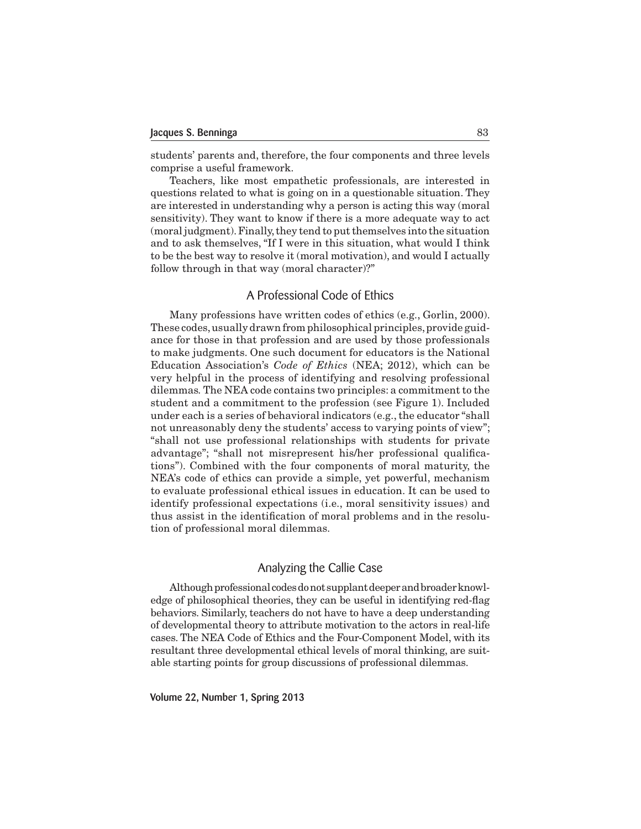students' parents and, therefore, the four components and three levels comprise a useful framework.

 Teachers, like most empathetic professionals, are interested in questions related to what is going on in a questionable situation. They are interested in understanding why a person is acting this way (moral sensitivity). They want to know if there is a more adequate way to act (moral judgment).Finally,they tend to putthemselves into the situation and to ask themselves, "If I were in this situation, what would I think to be the best way to resolve it (moral motivation), and would I actually follow through in that way (moral character)?"

## A Professional Code of Ethics

 Many professions have written codes of ethics (e.g., Gorlin, 2000). These codes, usually drawn from philosophical principles, provide guidance for those in that profession and are used by those professionals to make judgments. One such document for educators is the National Education Association's *Code of Ethics* (NEA; 2012), which can be very helpful in the process of identifying and resolving professional dilemmas*.*The NEA code contains two principles: a commitment to the student and a commitment to the profession (see Figure 1). Included under each is a series of behavioral indicators (e.g., the educator "shall not unreasonably deny the students' access to varying points of view"; "shall not use professional relationships with students for private advantage"; "shall not misrepresent his/her professional qualifications"). Combined with the four components of moral maturity, the NEA's code of ethics can provide a simple, yet powerful, mechanism to evaluate professional ethical issues in education. It can be used to identify professional expectations (i.e., moral sensitivity issues) and thus assist in the identification of moral problems and in the resolution of professional moral dilemmas.

## Analyzing the Callie Case

Although professional codes do not supplant deeper and broader knowledge of philosophical theories, they can be useful in identifying red-flag behaviors. Similarly, teachers do not have to have a deep understanding of developmental theory to attribute motivation to the actors in real-life cases. The NEA Code of Ethics and the Four-Component Model, with its resultant three developmental ethical levels of moral thinking, are suitable starting points for group discussions of professional dilemmas.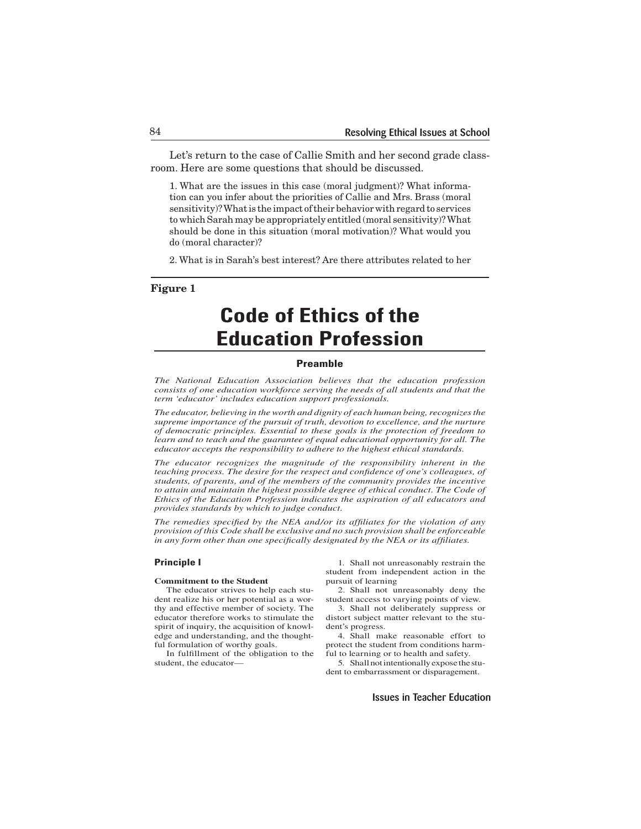Let's return to the case of Callie Smith and her second grade classroom. Here are some questions that should be discussed.

1. What are the issues in this case (moral judgment)? What information can you infer about the priorities of Callie and Mrs. Brass (moral sensitivity)? What is the impact of their behavior with regard to services to which Sarah may be appropriately entitled (moral sensitivity)?What should be done in this situation (moral motivation)? What would you do (moral character)?

2. What is in Sarah's best interest? Are there attributes related to her

## **Figure 1**

# **Code of Ethics of the Education Profession**

#### **Preamble**

*The National Education Association believes that the education profession consists of one education workforce serving the needs of all students and that the term 'educator' includes education support professionals.*

*The educator, believing in the worth and dignity of each human being, recognizes the supreme importance of the pursuit of truth, devotion to excellence, and the nurture of democratic principles. Essential to these goals is the protection of freedom to learn and to teach and the guarantee of equal educational opportunity for all. The educator accepts the responsibility to adhere to the highest ethical standards.*

*The educator recognizes the magnitude of the responsibility inherent in the teaching process. The desire for the respect and confidence of one's colleagues, of students, of parents, and of the members of the community provides the incentive*  to attain and maintain the highest possible degree of ethical conduct. The Code of *Ethics of the Education Profession indicates the aspiration of all educators and provides standards by which to judge conduct.*

*The remedies specified by the NEA and/or its affiliates for the violation of any provision of this Code shall be exclusive and no such provision shall be enforceable in any form other than one specifically designated by the NEA or its affiliates.*

#### **Principle I**

#### **Commitment to the Student**

The educator strives to help each student realize his or her potential as a worthy and effective member of society. The educator therefore works to stimulate the spirit of inquiry, the acquisition of knowledge and understanding, and the thoughtful formulation of worthy goals.

In fulfillment of the obligation to the student, the educator—

1. Shall not unreasonably restrain the student from independent action in the pursuit of learning

2. Shall not unreasonably deny the student access to varying points of view.

3. Shall not deliberately suppress or distort subject matter relevant to the student's progress.

4. Shall make reasonable effort to protect the student from conditions harmful to learning or to health and safety.

5. Shall not intentionally expose the student to embarrassment or disparagement.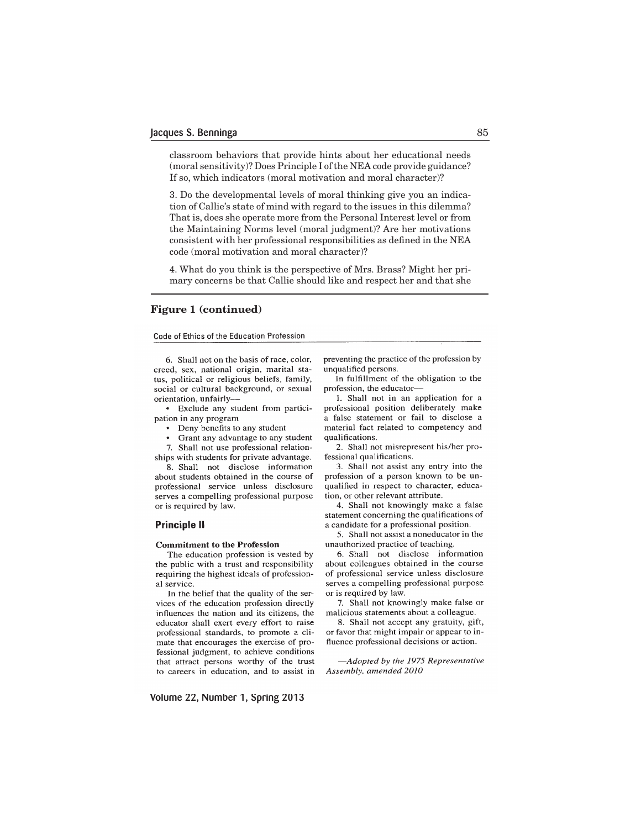classroom behaviors that provide hints about her educational needs (moral sensitivity)? Does Principle I of the NEA code provide guidance? If so, which indicators (moral motivation and moral character)?

3. Do the developmental levels of moral thinking give you an indication of Callie's state of mind with regard to the issues in this dilemma? That is, does she operate more from the Personal Interest level or from the Maintaining Norms level (moral judgment)? Are her motivations consistent with her professional responsibilities as defined in the NEA code (moral motivation and moral character)?

4. What do you think is the perspective of Mrs. Brass? Might her primary concerns be that Callie should like and respect her and that she

### **Figure 1 (continued)**

#### Code of Ethics of the Education Profession

6. Shall not on the basis of race, color, creed, sex, national origin, marital status, political or religious beliefs, family, social or cultural background, or sexual orientation, unfairly-

• Exclude any student from participation in any program

- Deny benefits to any student
- Grant any advantage to any student
- 7. Shall not use professional relation-

ships with students for private advantage.

8. Shall not disclose information about students obtained in the course of professional service unless disclosure serves a compelling professional purpose or is required by law.

#### **Principle II**

#### **Commitment to the Profession**

The education profession is vested by the public with a trust and responsibility requiring the highest ideals of professional service.

In the belief that the quality of the services of the education profession directly influences the nation and its citizens, the educator shall exert every effort to raise professional standards, to promote a climate that encourages the exercise of professional judgment, to achieve conditions that attract persons worthy of the trust to careers in education, and to assist in preventing the practice of the profession by unqualified persons.

In fulfillment of the obligation to the profession, the educator-

1. Shall not in an application for a professional position deliberately make a false statement or fail to disclose a material fact related to competency and qualifications.

2. Shall not misrepresent his/her professional qualifications.

3. Shall not assist any entry into the profession of a person known to be unqualified in respect to character, education, or other relevant attribute.

4. Shall not knowingly make a false statement concerning the qualifications of a candidate for a professional position.

5. Shall not assist a noneducator in the unauthorized practice of teaching.

6. Shall not disclose information about colleagues obtained in the course of professional service unless disclosure serves a compelling professional purpose or is required by law.

7. Shall not knowingly make false or malicious statements about a colleague.

8. Shall not accept any gratuity, gift, or favor that might impair or appear to influence professional decisions or action.

-Adopted by the 1975 Representative Assembly, amended 2010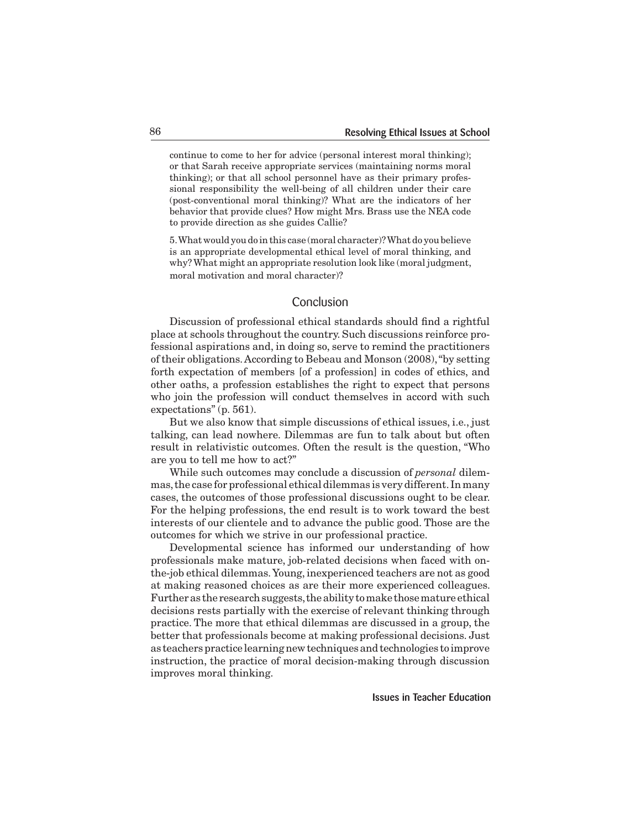continue to come to her for advice (personal interest moral thinking); or that Sarah receive appropriate services (maintaining norms moral thinking); or that all school personnel have as their primary professional responsibility the well-being of all children under their care (post-conventional moral thinking)? What are the indicators of her behavior that provide clues? How might Mrs. Brass use the NEA code to provide direction as she guides Callie?

5.Whatwould youdo inthis case (moral character)?What do youbelieve is an appropriate developmental ethical level of moral thinking, and why? What might an appropriate resolution look like (moral judgment, moral motivation and moral character)?

## Conclusion

 Discussion of professional ethical standards should find a rightful place at schools throughout the country. Such discussions reinforce professional aspirations and, in doing so, serve to remind the practitioners of their obligations.According to Bebeau and Monson (2008),"by setting forth expectation of members [of a profession] in codes of ethics, and other oaths, a profession establishes the right to expect that persons who join the profession will conduct themselves in accord with such expectations" (p. 561).

 But we also know that simple discussions of ethical issues, i.e., just talking, can lead nowhere. Dilemmas are fun to talk about but often result in relativistic outcomes. Often the result is the question, "Who are you to tell me how to act?"

 While such outcomes may conclude a discussion of *personal* dilemmas,the case for professional ethical dilemmas is very different. In many cases, the outcomes of those professional discussions ought to be clear. For the helping professions, the end result is to work toward the best interests of our clientele and to advance the public good. Those are the outcomes for which we strive in our professional practice.

 Developmental science has informed our understanding of how professionals make mature, job-related decisions when faced with onthe-job ethical dilemmas.Young, inexperienced teachers are not as good at making reasoned choices as are their more experienced colleagues. Further as the research suggests, the ability to make those mature ethical decisions rests partially with the exercise of relevant thinking through practice. The more that ethical dilemmas are discussed in a group, the better that professionals become at making professional decisions. Just as teachers practice learning new techniques and technologies to improve instruction, the practice of moral decision-making through discussion improves moral thinking.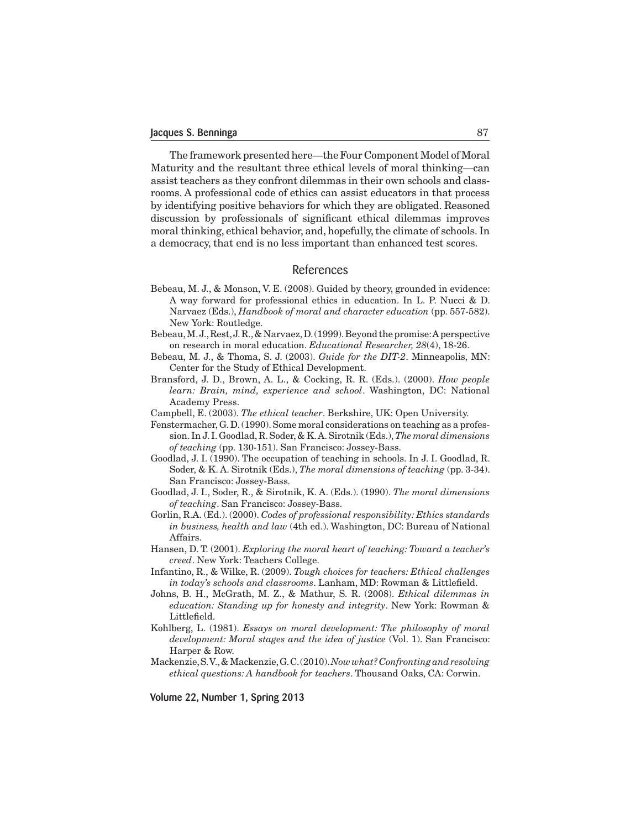The framework presented here—the Four Component Model of Moral Maturity and the resultant three ethical levels of moral thinking—can assist teachers as they confront dilemmas in their own schools and classrooms. A professional code of ethics can assist educators in that process by identifying positive behaviors for which they are obligated. Reasoned discussion by professionals of significant ethical dilemmas improves moral thinking, ethical behavior, and, hopefully, the climate of schools. In a democracy, that end is no less important than enhanced test scores.

## References

- Bebeau, M. J., & Monson, V. E. (2008). Guided by theory, grounded in evidence: A way forward for professional ethics in education. In L. P. Nucci & D. Narvaez (Eds.), *Handbook of moral and character education* (pp. 557-582). New York: Routledge.
- Bebeau,M.J.,Rest,J.R.,& Narvaez,D.(1999).Beyondthepromise:Aperspective on research in moral education. *Educational Researcher, 28*(4), 18-26.
- Bebeau, M. J., & Thoma, S. J. (2003). *Guide for the DIT-2*. Minneapolis, MN: Center for the Study of Ethical Development.
- Bransford, J. D., Brown, A. L., & Cocking, R. R. (Eds.). (2000). *How people learn: Brain, mind, experience and school*. Washington, DC: National Academy Press.
- Campbell, E. (2003). *The ethical teacher*. Berkshire, UK: Open University.
- Fenstermacher,G.D.(1990).Some moral considerations on teaching as a profession. In J. I.Goodlad,R.Soder, & K.A.Sirotnik (Eds.),*The moral dimensions of teaching* (pp. 130-151). San Francisco: Jossey-Bass.
- Goodlad, J. I. (1990). The occupation of teaching in schools. In J. I. Goodlad, R. Soder, & K. A. Sirotnik (Eds.), *The moral dimensions of teaching* (pp. 3-34). San Francisco: Jossey-Bass.
- Goodlad, J. I., Soder, R., & Sirotnik, K. A. (Eds.). (1990). *The moral dimensions of teaching*. San Francisco: Jossey-Bass.
- Gorlin, R.A. (Ed.). (2000). *Codes of professional responsibility: Ethics standards in business, health and law* (4th ed.). Washington, DC: Bureau of National Affairs.
- Hansen, D. T. (2001). *Exploring the moral heart of teaching: Toward a teacher's creed*. New York: Teachers College.
- Infantino, R., & Wilke, R. (2009). *Tough choices for teachers: Ethical challenges in today's schools and classrooms*. Lanham, MD: Rowman & Littlefield.
- Johns, B. H., McGrath, M. Z., & Mathur, S. R. (2008). *Ethical dilemmas in education: Standing up for honesty and integrity*. New York: Rowman & Littlefield.
- Kohlberg, L. (1981). *Essays on moral development: The philosophy of moral development: Moral stages and the idea of justice* (Vol. 1). San Francisco: Harper & Row.
- Mackenzie,S.V.,&Mackenzie,G.C.(2010).*Now what? Confronting and resolving ethical questions: A handbook for teachers*. Thousand Oaks, CA: Corwin.